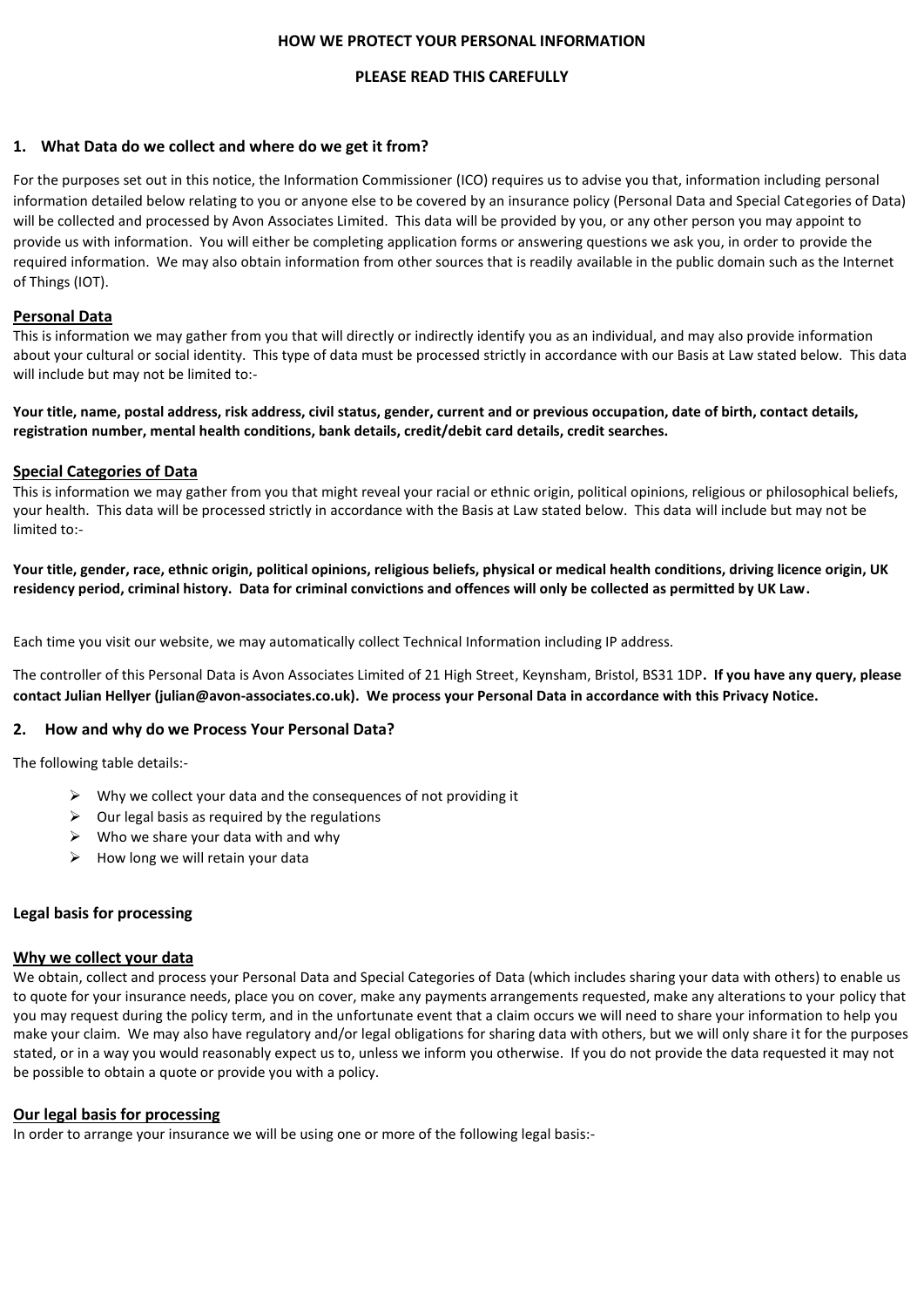### **HOW WE PROTECT YOUR PERSONAL INFORMATION**

### **PLEASE READ THIS CAREFULLY**

### **1. What Data do we collect and where do we get it from?**

For the purposes set out in this notice, the Information Commissioner (ICO) requires us to advise you that, information including personal information detailed below relating to you or anyone else to be covered by an insurance policy (Personal Data and Special Categories of Data) will be collected and processed by Avon Associates Limited. This data will be provided by you, or any other person you may appoint to provide us with information. You will either be completing application forms or answering questions we ask you, in order to provide the required information. We may also obtain information from other sources that is readily available in the public domain such as the Internet of Things (IOT).

### **Personal Data**

This is information we may gather from you that will directly or indirectly identify you as an individual, and may also provide information about your cultural or social identity. This type of data must be processed strictly in accordance with our Basis at Law stated below. This data will include but may not be limited to:-

**Your title, name, postal address, risk address, civil status, gender, current and or previous occupation, date of birth, contact details, registration number, mental health conditions, bank details, credit/debit card details, credit searches.**

### **Special Categories of Data**

This is information we may gather from you that might reveal your racial or ethnic origin, political opinions, religious or philosophical beliefs, your health. This data will be processed strictly in accordance with the Basis at Law stated below. This data will include but may not be limited to:-

**Your title, gender, race, ethnic origin, political opinions, religious beliefs, physical or medical health conditions, driving licence origin, UK residency period, criminal history. Data for criminal convictions and offences will only be collected as permitted by UK Law.**

Each time you visit our website, we may automatically collect Technical Information including IP address.

The controller of this Personal Data is Avon Associates Limited of 21 High Street, Keynsham, Bristol, BS31 1DP**. If you have any query, please contact Julian Hellyer (julian@avon-associates.co.uk). We process your Personal Data in accordance with this Privacy Notice.**

### **2. How and why do we Process Your Personal Data?**

The following table details:-

- $\triangleright$  Why we collect your data and the consequences of not providing it
- $\triangleright$  Our legal basis as required by the regulations
- $\triangleright$  Who we share your data with and why
- $\triangleright$  How long we will retain your data

### **Legal basis for processing**

### **Why we collect your data**

We obtain, collect and process your Personal Data and Special Categories of Data (which includes sharing your data with others) to enable us to quote for your insurance needs, place you on cover, make any payments arrangements requested, make any alterations to your policy that you may request during the policy term, and in the unfortunate event that a claim occurs we will need to share your information to help you make your claim. We may also have regulatory and/or legal obligations for sharing data with others, but we will only share it for the purposes stated, or in a way you would reasonably expect us to, unless we inform you otherwise. If you do not provide the data requested it may not be possible to obtain a quote or provide you with a policy.

### **Our legal basis for processing**

In order to arrange your insurance we will be using one or more of the following legal basis:-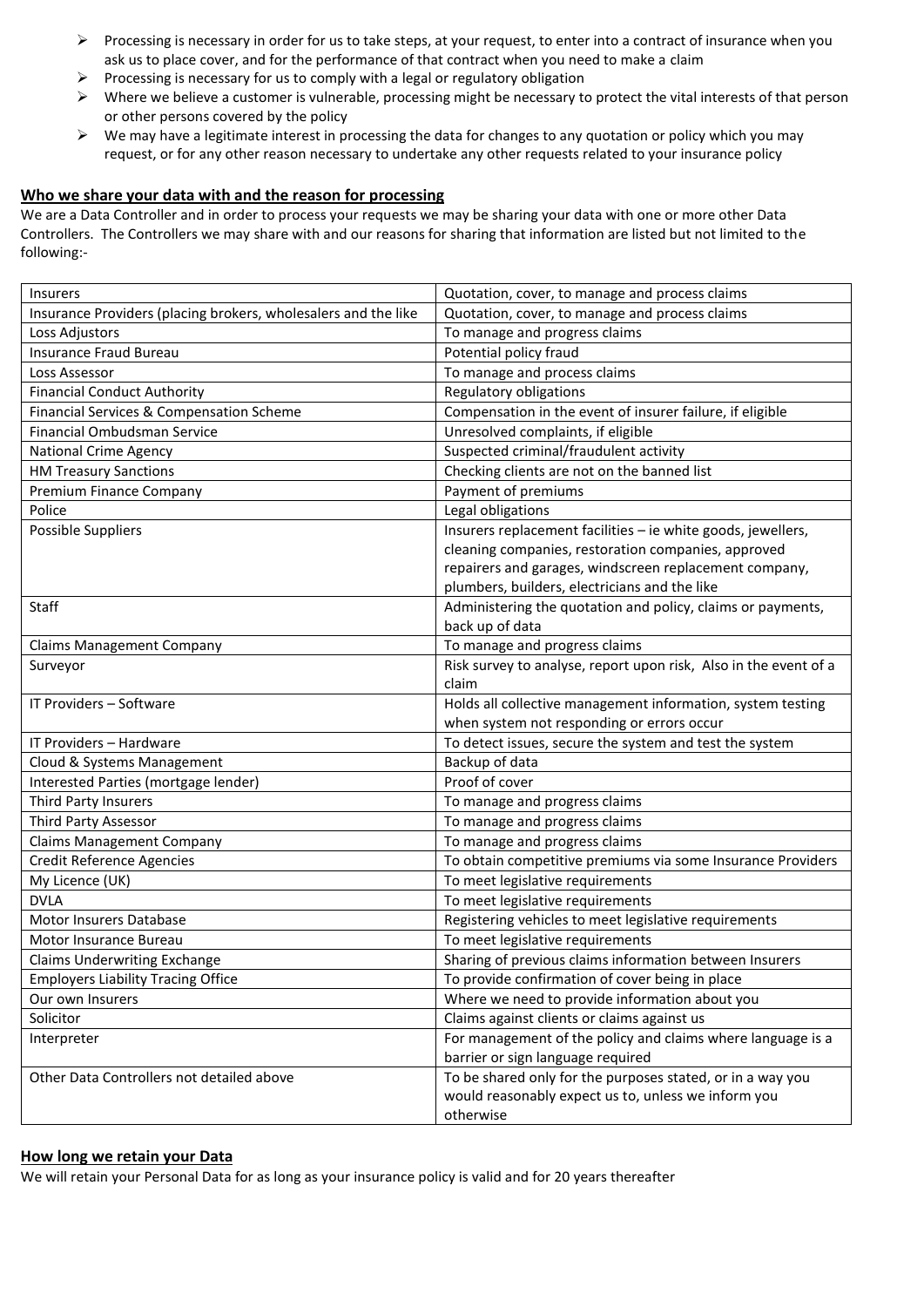- ➢ Processing is necessary in order for us to take steps, at your request, to enter into a contract of insurance when you ask us to place cover, and for the performance of that contract when you need to make a claim
- $\triangleright$  Processing is necessary for us to comply with a legal or regulatory obligation
- $\triangleright$  Where we believe a customer is vulnerable, processing might be necessary to protect the vital interests of that person or other persons covered by the policy
- $\triangleright$  We may have a legitimate interest in processing the data for changes to any quotation or policy which you may request, or for any other reason necessary to undertake any other requests related to your insurance policy

# **Who we share your data with and the reason for processing**

We are a Data Controller and in order to process your requests we may be sharing your data with one or more other Data Controllers. The Controllers we may share with and our reasons for sharing that information are listed but not limited to the following:-

| Insurers                                                       | Quotation, cover, to manage and process claims                   |
|----------------------------------------------------------------|------------------------------------------------------------------|
| Insurance Providers (placing brokers, wholesalers and the like | Quotation, cover, to manage and process claims                   |
| Loss Adjustors                                                 | To manage and progress claims                                    |
| Insurance Fraud Bureau                                         | Potential policy fraud                                           |
| Loss Assessor                                                  | To manage and process claims                                     |
| <b>Financial Conduct Authority</b>                             | Regulatory obligations                                           |
| Financial Services & Compensation Scheme                       | Compensation in the event of insurer failure, if eligible        |
| Financial Ombudsman Service                                    | Unresolved complaints, if eligible                               |
| <b>National Crime Agency</b>                                   | Suspected criminal/fraudulent activity                           |
| <b>HM Treasury Sanctions</b>                                   | Checking clients are not on the banned list                      |
| Premium Finance Company                                        | Payment of premiums                                              |
| Police                                                         | Legal obligations                                                |
| <b>Possible Suppliers</b>                                      | Insurers replacement facilities - ie white goods, jewellers,     |
|                                                                | cleaning companies, restoration companies, approved              |
|                                                                | repairers and garages, windscreen replacement company,           |
|                                                                | plumbers, builders, electricians and the like                    |
| Staff                                                          | Administering the quotation and policy, claims or payments,      |
|                                                                | back up of data                                                  |
| <b>Claims Management Company</b>                               | To manage and progress claims                                    |
| Surveyor                                                       | Risk survey to analyse, report upon risk, Also in the event of a |
|                                                                | claim                                                            |
| IT Providers - Software                                        | Holds all collective management information, system testing      |
|                                                                | when system not responding or errors occur                       |
| IT Providers - Hardware                                        | To detect issues, secure the system and test the system          |
| Cloud & Systems Management                                     | Backup of data                                                   |
| Interested Parties (mortgage lender)                           | Proof of cover                                                   |
| Third Party Insurers                                           | To manage and progress claims                                    |
| <b>Third Party Assessor</b>                                    | To manage and progress claims                                    |
| <b>Claims Management Company</b>                               | To manage and progress claims                                    |
| <b>Credit Reference Agencies</b>                               | To obtain competitive premiums via some Insurance Providers      |
| My Licence (UK)                                                | To meet legislative requirements                                 |
| <b>DVLA</b>                                                    | To meet legislative requirements                                 |
| Motor Insurers Database                                        | Registering vehicles to meet legislative requirements            |
| Motor Insurance Bureau                                         | To meet legislative requirements                                 |
| <b>Claims Underwriting Exchange</b>                            | Sharing of previous claims information between Insurers          |
| <b>Employers Liability Tracing Office</b>                      | To provide confirmation of cover being in place                  |
| Our own Insurers                                               | Where we need to provide information about you                   |
| Solicitor                                                      | Claims against clients or claims against us                      |
| Interpreter                                                    | For management of the policy and claims where language is a      |
|                                                                | barrier or sign language required                                |
| Other Data Controllers not detailed above                      | To be shared only for the purposes stated, or in a way you       |
|                                                                | would reasonably expect us to, unless we inform you              |
|                                                                | otherwise                                                        |

### **How long we retain your Data**

We will retain your Personal Data for as long as your insurance policy is valid and for 20 years thereafter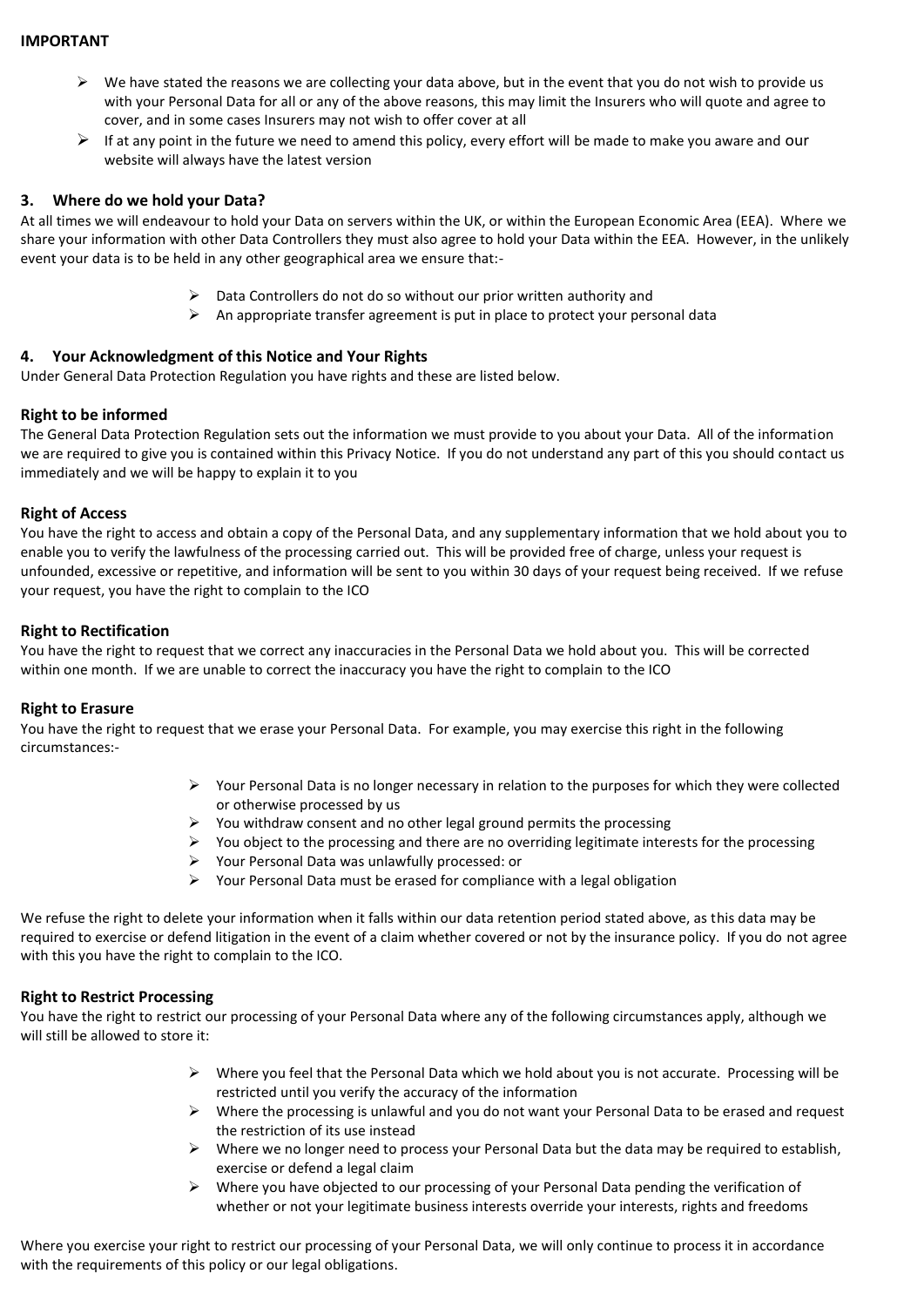### **IMPORTANT**

- $\triangleright$  We have stated the reasons we are collecting your data above, but in the event that you do not wish to provide us with your Personal Data for all or any of the above reasons, this may limit the Insurers who will quote and agree to cover, and in some cases Insurers may not wish to offer cover at all
- $\triangleright$  If at any point in the future we need to amend this policy, every effort will be made to make you aware and our website will always have the latest version

### **3. Where do we hold your Data?**

At all times we will endeavour to hold your Data on servers within the UK, or within the European Economic Area (EEA). Where we share your information with other Data Controllers they must also agree to hold your Data within the EEA. However, in the unlikely event your data is to be held in any other geographical area we ensure that:-

- ➢ Data Controllers do not do so without our prior written authority and
- $\triangleright$  An appropriate transfer agreement is put in place to protect your personal data

### **4. Your Acknowledgment of this Notice and Your Rights**

Under General Data Protection Regulation you have rights and these are listed below.

### **Right to be informed**

The General Data Protection Regulation sets out the information we must provide to you about your Data. All of the information we are required to give you is contained within this Privacy Notice. If you do not understand any part of this you should contact us immediately and we will be happy to explain it to you

### **Right of Access**

You have the right to access and obtain a copy of the Personal Data, and any supplementary information that we hold about you to enable you to verify the lawfulness of the processing carried out. This will be provided free of charge, unless your request is unfounded, excessive or repetitive, and information will be sent to you within 30 days of your request being received. If we refuse your request, you have the right to complain to the ICO

### **Right to Rectification**

You have the right to request that we correct any inaccuracies in the Personal Data we hold about you. This will be corrected within one month. If we are unable to correct the inaccuracy you have the right to complain to the ICO

### **Right to Erasure**

You have the right to request that we erase your Personal Data. For example, you may exercise this right in the following circumstances:-

- $\triangleright$  Your Personal Data is no longer necessary in relation to the purposes for which they were collected or otherwise processed by us
- ➢ You withdraw consent and no other legal ground permits the processing
- ➢ You object to the processing and there are no overriding legitimate interests for the processing
- ➢ Your Personal Data was unlawfully processed: or
- $\triangleright$  Your Personal Data must be erased for compliance with a legal obligation

We refuse the right to delete your information when it falls within our data retention period stated above, as this data may be required to exercise or defend litigation in the event of a claim whether covered or not by the insurance policy. If you do not agree with this you have the right to complain to the ICO.

## **Right to Restrict Processing**

You have the right to restrict our processing of your Personal Data where any of the following circumstances apply, although we will still be allowed to store it:

- $\triangleright$  Where you feel that the Personal Data which we hold about you is not accurate. Processing will be restricted until you verify the accuracy of the information
- ➢ Where the processing is unlawful and you do not want your Personal Data to be erased and request the restriction of its use instead
- $\triangleright$  Where we no longer need to process your Personal Data but the data may be required to establish, exercise or defend a legal claim
- ➢ Where you have objected to our processing of your Personal Data pending the verification of whether or not your legitimate business interests override your interests, rights and freedoms

Where you exercise your right to restrict our processing of your Personal Data, we will only continue to process it in accordance with the requirements of this policy or our legal obligations.